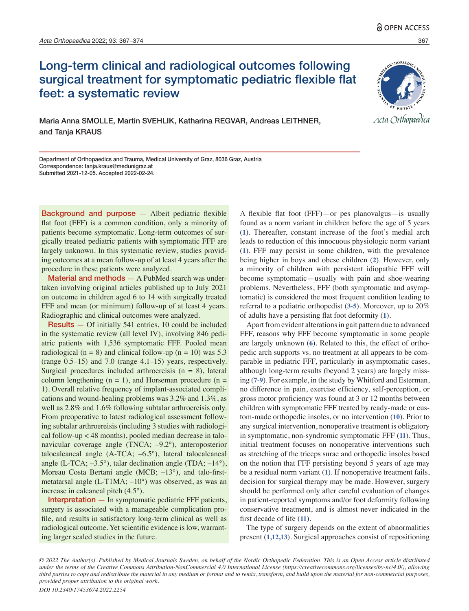# Long-term clinical and radiological outcomes following surgical treatment for symptomatic pediatric flexible flat feet: a systematic review



Maria Anna SMOLLE, Martin SVEHLIK, Katharina REGVAR, Andreas LEITHNER, and Tanja KRAUS

Department of Orthopaedics and Trauma, Medical University of Graz, 8036 Graz, Austria Correspondence: tanja.kraus@medunigraz.at Submitted 2021-12-05. Accepted 2022-02-24.

Background and purpose — Albeit pediatric flexible flat foot (FFF) is a common condition, only a minority of patients become symptomatic. Long-term outcomes of surgically treated pediatric patients with symptomatic FFF are largely unknown. In this systematic review, studies providing outcomes at a mean follow-up of at least 4 years after the procedure in these patients were analyzed.

Material and methods — A PubMed search was undertaken involving original articles published up to July 2021 on outcome in children aged 6 to 14 with surgically treated FFF and mean (or minimum) follow-up of at least 4 years. Radiographic and clinical outcomes were analyzed.

Results — Of initially 541 entries, 10 could be included in the systematic review (all level IV), involving 846 pediatric patients with 1,536 symptomatic FFF. Pooled mean radiological (n = 8) and clinical follow-up (n = 10) was  $5.3$ (range 0.5–15) and 7.0 (range 4.1–15) years, respectively. Surgical procedures included arthroereisis  $(n = 8)$ , lateral column lengthening  $(n = 1)$ , and Horseman procedure  $(n = 1)$ 1). Overall relative frequency of implant-associated complications and wound-healing problems was 3.2% and 1.3%, as well as 2.8% and 1.6% following subtalar arthroereisis only. From preoperative to latest radiological assessment following subtalar arthroereisis (including 3 studies with radiological follow-up < 48 months), pooled median decrease in talonavicular coverage angle (TNCA; –9.2°), anteroposterior talocalcaneal angle (A-TCA; –6.5°), lateral talocalcaneal angle (L-TCA; –3.5°), talar declination angle (TDA; –14°), Moreau Costa Bertani angle (MCB; –13°), and talo-firstmetatarsal angle (L-T1MA; –10°) was observed, as was an increase in calcaneal pitch (4.5°).

Interpretation — In symptomatic pediatric FFF patients, surgery is associated with a manageable complication profile, and results in satisfactory long-term clinical as well as radiological outcome. Yet scientific evidence is low, warranting larger scaled studies in the future.

A flexible flat foot (FFF)—or pes planovalgus—is usually found as a norm variant in children before the age of 5 years (**1**). Thereafter, constant increase of the foot's medial arch leads to reduction of this innocuous physiologic norm variant (**1**). FFF may persist in some children, with the prevalence being higher in boys and obese children (**2**). However, only a minority of children with persistent idiopathic FFF will become symptomatic—usually with pain and shoe-wearing problems. Nevertheless, FFF (both symptomatic and asymptomatic) is considered the most frequent condition leading to referral to a pediatric orthopedist (**3-5**). Moreover, up to 20% of adults have a persisting flat foot deformity (**1**).

Apart from evident alterations in gait pattern due to advanced FFF, reasons why FFF become symptomatic in some people are largely unknown (**6**). Related to this, the effect of orthopedic arch supports vs. no treatment at all appears to be comparable in pediatric FFF, particularly in asymptomatic cases, although long-term results (beyond 2 years) are largely missing (**7-9**). For example, in the study by Whitford and Esterman, no difference in pain, exercise efficiency, self-perception, or gross motor proficiency was found at 3 or 12 months between children with symptomatic FFF treated by ready-made or custom-made orthopedic insoles, or no intervention (**10**). Prior to any surgical intervention, nonoperative treatment is obligatory in symptomatic, non-syndromic symptomatic FFF (**11**). Thus, initial treatment focuses on nonoperative interventions such as stretching of the triceps surae and orthopedic insoles based on the notion that FFF persisting beyond 5 years of age may be a residual norm variant (**1**). If nonoperative treatment fails, decision for surgical therapy may be made. However, surgery should be performed only after careful evaluation of changes in patient-reported symptoms and/or foot deformity following conservative treatment, and is almost never indicated in the first decade of life (**11**).

The type of surgery depends on the extent of abnormalities present (**1,12,13**). Surgical approaches consist of repositioning

*<sup>© 2022</sup> The Author(s). Published by Medical Journals Sweden, on behalf of the Nordic Orthopedic Federation. This is an Open Access article distributed under the terms of the Creative Commons Attribution-NonCommercial 4.0 International License (https://creativecommons.org/licenses/by-nc/4.0/), allowing third parties to copy and redistribute the material in any medium or format and to remix, transform, and build upon the material for non-commercial purposes, provided proper attribution to the original work.*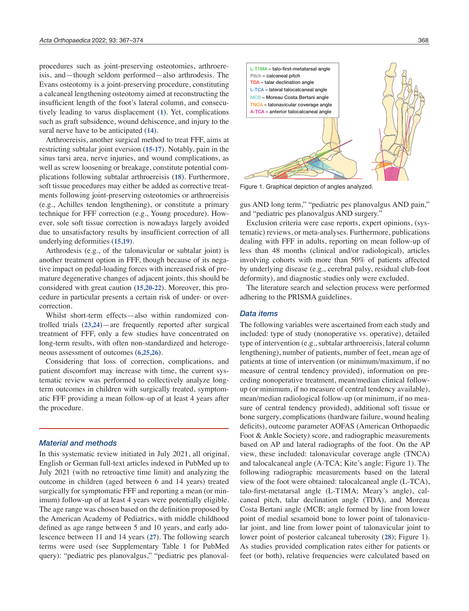procedures such as joint-preserving osteotomies, arthroereisis, and—though seldom performed—also arthrodesis. The Evans osteotomy is a joint-preserving procedure, constituting a calcaneal lengthening osteotomy aimed at reconstructing the insufficient length of the foot's lateral column, and consecutively leading to varus displacement (**1**). Yet, complications such as graft subsidence, wound dehiscence, and injury to the sural nerve have to be anticipated (**14**).

Arthroereisis, another surgical method to treat FFF, aims at restricting subtalar joint eversion (**15-17**). Notably, pain in the sinus tarsi area, nerve injuries, and wound complications, as well as screw loosening or breakage, constitute potential complications following subtalar arthroereisis (**18**). Furthermore, soft tissue procedures may either be added as corrective treatments following joint-preserving osteotomies or arthroereisis (e.g., Achilles tendon lengthening), or constitute a primary technique for FFF correction (e.g., Young procedure). However, sole soft tissue correction is nowadays largely avoided due to unsatisfactory results by insufficient correction of all underlying deformities (**15,19**).

Arthrodesis (e.g., of the talonavicular or subtalar joint) is another treatment option in FFF, though because of its negative impact on pedal-loading forces with increased risk of premature degenerative changes of adjacent joints, this should be considered with great caution (**15,20-22**). Moreover, this procedure in particular presents a certain risk of under- or overcorrection.

Whilst short-term effects—also within randomized controlled trials (**23,24**)—are frequently reported after surgical treatment of FFF, only a few studies have concentrated on long-term results, with often non-standardized and heterogeneous assessment of outcomes (**6,25,26**).

Considering that loss of correction, complications, and patient discomfort may increase with time, the current systematic review was performed to collectively analyze longterm outcomes in children with surgically treated, symptomatic FFF providing a mean follow-up of at least 4 years after the procedure.

#### *Material and methods*

In this systematic review initiated in July 2021, all original, English or German full-text articles indexed in PubMed up to July 2021 (with no retroactive time limit) and analyzing the outcome in children (aged between 6 and 14 years) treated surgically for symptomatic FFF and reporting a mean (or minimum) follow-up of at least 4 years were potentially eligible. The age range was chosen based on the definition proposed by the American Academy of Pediatrics, with middle childhood defined as age range between 5 and 10 years, and early adolescence between 11 and 14 years (**27**). The following search terms were used (see Supplementary Table 1 for PubMed query): "pediatric pes planovalgus," "pediatric pes planoval-



Figure 1. Graphical depiction of angles analyzed.

gus AND long term," "pediatric pes planovalgus AND pain," and "pediatric pes planovalgus AND surgery."

Exclusion criteria were case reports, expert opinions, (systematic) reviews, or meta-analyses. Furthermore, publications dealing with FFF in adults, reporting on mean follow-up of less than 48 months (clinical and/or radiological), articles involving cohorts with more than 50% of patients affected by underlying disease (e.g., cerebral palsy, residual club-foot deformity), and diagnostic studies only were excluded.

The literature search and selection process were performed adhering to the PRISMA guidelines.

## *Data items*

The following variables were ascertained from each study and included: type of study (nonoperative vs. operative), detailed type of intervention (e.g., subtalar arthroereisis, lateral column lengthening), number of patients, number of feet, mean age of patients at time of intervention (or minimum/maximum, if no measure of central tendency provided), information on preceding nonoperative treatment, mean/median clinical followup (or minimum, if no measure of central tendency available), mean/median radiological follow-up (or minimum, if no measure of central tendency provided), additional soft tissue or bone surgery, complications (hardware failure, wound healing deficits), outcome parameter AOFAS (American Orthopaedic Foot & Ankle Society) score, and radiographic measurements based on AP and lateral radiographs of the foot. On the AP view, these included: talonavicular coverage angle (TNCA) and talocalcaneal angle (A-TCA; Kite's angle; Figure 1). The following radiographic measurements based on the lateral view of the foot were obtained: talocalcaneal angle (L-TCA), talo-first-metatarsal angle (L-T1MA; Meary's angle), calcaneal pitch, talar declination angle (TDA), and Moreau Costa Bertani angle (MCB; angle formed by line from lower point of medial sesamoid bone to lower point of talonavicular joint, and line from lower point of talonavicular joint to lower point of posterior calcaneal tuberosity (**28**); Figure 1). As studies provided complication rates either for patients or feet (or both), relative frequencies were calculated based on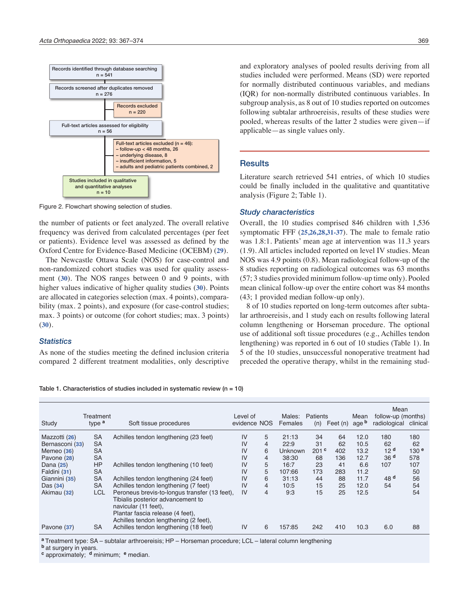

Figure 2. Flowchart showing selection of studies.

the number of patients or feet analyzed. The overall relative frequency was derived from calculated percentages (per feet or patients). Evidence level was assessed as defined by the Oxford Centre for Evidence-Based Medicine (OCEBM) (**29**).

The Newcastle Ottawa Scale (NOS) for case-control and non-randomized cohort studies was used for quality assessment (**30**). The NOS ranges between 0 and 9 points, with higher values indicative of higher quality studies (**30**). Points are allocated in categories selection (max. 4 points), comparability (max. 2 points), and exposure (for case-control studies; max. 3 points) or outcome (for cohort studies; max. 3 points) (**30**).

## *Statistics*

As none of the studies meeting the defined inclusion criteria compared 2 different treatment modalities, only descriptive and exploratory analyses of pooled results deriving from all studies included were performed. Means (SD) were reported for normally distributed continuous variables, and medians (IQR) for non-normally distributed continuous variables. In subgroup analysis, as 8 out of 10 studies reported on outcomes following subtalar arthroereisis, results of these studies were pooled, whereas results of the latter 2 studies were given—if applicable—as single values only.

## **Results**

Literature search retrieved 541 entries, of which 10 studies could be finally included in the qualitative and quantitative analysis (Figure 2; Table 1).

#### *Study characteristics*

Overall, the 10 studies comprised 846 children with 1,536 symptomatic FFF (**25,26,28,31-37**). The male to female ratio was 1.8:1. Patients' mean age at intervention was 11.3 years (1.9). All articles included reported on level IV studies. Mean NOS was 4.9 points (0.8). Mean radiological follow-up of the 8 studies reporting on radiological outcomes was 63 months (57; 3 studies provided minimum follow-up time only). Pooled mean clinical follow-up over the entire cohort was 84 months (43; 1 provided median follow-up only).

8 of 10 studies reported on long-term outcomes after subtalar arthroereisis, and 1 study each on results following lateral column lengthening or Horseman procedure. The optional use of additional soft tissue procedures (e.g., Achilles tendon lengthening) was reported in 6 out of 10 studies (Table 1). In 5 of the 10 studies, unsuccessful nonoperative treatment had preceded the operative therapy, whilst in the remaining stud-

Table 1. Characteristics of studies included in systematic review ( $n = 10$ )

| Study           | Treatment<br>type <sup>a</sup> | Soft tissue procedures                                                                                                                         | Level of<br>evidence NOS |                | Males:<br>Females | Patients<br>(n)  | Feet (n) | Mean<br>age <b>b</b> | Mean<br>follow-up (months)<br>radiological | clinical         |
|-----------------|--------------------------------|------------------------------------------------------------------------------------------------------------------------------------------------|--------------------------|----------------|-------------------|------------------|----------|----------------------|--------------------------------------------|------------------|
| Mazzotti (26)   | <b>SA</b>                      | Achilles tendon lengthening (23 feet)                                                                                                          | IV                       | 5              | 21:13             | 34               | 64       | 12.0                 | 180                                        | 180              |
| Bernasconi (33) | <b>SA</b>                      |                                                                                                                                                | IV                       | $\overline{4}$ | 22:9              | 31               | 62       | 10.5                 | 62                                         | 62               |
| Memeo (36)      | <b>SA</b>                      |                                                                                                                                                | IV                       | 6              | Unknown           | 201 <sup>c</sup> | 402      | 13.2                 | 12 <sup>d</sup>                            | 130 <sup>e</sup> |
| Pavone (28)     | <b>SA</b>                      |                                                                                                                                                | IV                       | $\overline{4}$ | 38:30             | 68               | 136      | 12.7                 | 36 <sup>d</sup>                            | 578              |
| Dana (25)       | HP                             | Achilles tendon lengthening (10 feet)                                                                                                          | IV                       | 5              | 16:7              | 23               | 41       | 6.6                  | 107                                        | 107              |
| Faldini (31)    | <b>SA</b>                      |                                                                                                                                                | IV                       | 5              | 107:66            | 173              | 283      | 11.2                 |                                            | 50               |
| Giannini (35)   | <b>SA</b>                      | Achilles tendon lengthening (24 feet)                                                                                                          | IV                       | 6              | 31:13             | 44               | 88       | 11.7                 | 48 <sup>d</sup>                            | 56               |
| Das $(34)$      | <b>SA</b>                      | Achilles tendon lengthening (7 feet)                                                                                                           | IV                       | $\overline{4}$ | 10:5              | 15               | 25       | 12.0                 | 54                                         | 54               |
| Akimau (32)     | LCL                            | Peroneus brevis-to-longus transfer (13 feet),<br>Tibialis posterior advancement to<br>navicular (11 feet).<br>Plantar fascia release (4 feet), | IV                       | $\overline{4}$ | 9:3               | 15               | 25       | 12.5                 |                                            | 54               |
| Pavone (37)     | <b>SA</b>                      | Achilles tendon lengthening (2 feet),<br>Achilles tendon lengthening (18 feet)                                                                 | IV                       | 6              | 157:85            | 242              | 410      | 10.3                 | 6.0                                        | 88               |

**<sup>a</sup>**Treatment type: SA – subtalar arthroereisis; HP – Horseman procedure; LCL – lateral column lengthening

**b** at surgery in years.

**<sup>c</sup>** approximately; **d** minimum; **e** median.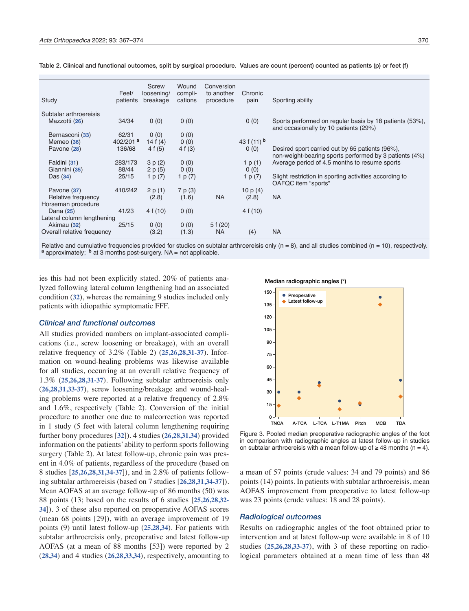| Study                      | Feet/<br>patients    | Screw<br>loosening/<br>breakage | Wound<br>compli-<br>cations | Conversion<br>to another<br>procedure | Chronic<br>pain          | Sporting ability                                                                                          |
|----------------------------|----------------------|---------------------------------|-----------------------------|---------------------------------------|--------------------------|-----------------------------------------------------------------------------------------------------------|
| Subtalar arthroereisis     |                      |                                 |                             |                                       |                          |                                                                                                           |
| Mazzotti (26)              | 34/34                | 0(0)                            | 0(0)                        |                                       | 0(0)                     | Sports performed on regular basis by 18 patients (53%),<br>and occasionally by 10 patients (29%)          |
| Bernasconi (33)            | 62/31                | 0(0)                            | 0(0)                        |                                       |                          |                                                                                                           |
| Memeo (36)                 | 402/201 <sup>a</sup> | 14 f $(4)$                      | 0(0)                        |                                       | 43 f $(11)$ <sup>b</sup> |                                                                                                           |
| Pavone (28)                | 136/68               | 4 f (5)                         | 4 f (3)                     |                                       | 0(0)                     | Desired sport carried out by 65 patients (96%),<br>non-weight-bearing sports performed by 3 patients (4%) |
| Faldini (31)               | 283/173              | 3 p (2)                         | 0(0)                        |                                       | 1 p $(1)$                | Average period of 4.5 months to resume sports                                                             |
| Giannini (35)              | 88/44                | 2 p (5)                         | 0(0)                        |                                       | 0(0)                     |                                                                                                           |
| Das $(34)$                 | 25/15                | 1 p (7)                         | 1 p $(7)$                   |                                       | 1 p $(7)$                | Slight restriction in sporting activities according to<br>OAFQC item "sports"                             |
| Pavone (37)                | 410/242              | 2 p(1)                          | 7 p (3)                     |                                       | 10 $p(4)$                |                                                                                                           |
| Relative frequency         |                      | (2.8)                           | (1.6)                       | <b>NA</b>                             | (2.8)                    | NA                                                                                                        |
| Horseman procedure         |                      |                                 |                             |                                       |                          |                                                                                                           |
| Dana (25)                  | 41/23                | 4f(10)                          | 0(0)                        |                                       | 4f(10)                   |                                                                                                           |
| Lateral column lengthening |                      |                                 |                             |                                       |                          |                                                                                                           |
| Akimau (32)                | 25/15                | 0(0)                            | 0(0)                        | 5f(20)                                |                          |                                                                                                           |
| Overall relative frequency |                      | (3.2)                           | (1.3)                       | NA                                    | (4)                      | <b>NA</b>                                                                                                 |
|                            |                      |                                 |                             |                                       |                          |                                                                                                           |

Table 2. Clinical and functional outcomes, split by surgical procedure. Values are count (percent) counted as patients (p) or feet (f)

Relative and cumulative frequencies provided for studies on subtalar arthroereisis only ( $n = 8$ ), and all studies combined ( $n = 10$ ), respectively.<br>a approximately; b at 3 months post-surgery. NA = not applicable.

ies this had not been explicitly stated. 20% of patients analyzed following lateral column lengthening had an associated condition (**32**), whereas the remaining 9 studies included only patients with idiopathic symptomatic FFF.

#### *Clinical and functional outcomes*

All studies provided numbers on implant-associated complications (i.e., screw loosening or breakage), with an overall relative frequency of 3.2% (Table 2) (**25,26,28,31-37**). Information on wound-healing problems was likewise available for all studies, occurring at an overall relative frequency of 1.3% (**25,26,28,31-37**). Following subtalar arthroereisis only (**26,28,31,33-37**), screw loosening/breakage and wound-healing problems were reported at a relative frequency of 2.8% and 1.6%, respectively (Table 2). Conversion of the initial procedure to another one due to malcorrection was reported in 1 study (5 feet with lateral column lengthening requiring further bony procedures [**32**]). 4 studies (**26,28,31,34**) provided information on the patients' ability to perform sports following surgery (Table 2). At latest follow-up, chronic pain was present in 4.0% of patients, regardless of the procedure (based on 8 studies [**25,26,28,31,34-37**]), and in 2.8% of patients following subtalar arthroereisis (based on 7 studies [**26,28,31,34-37**]). Mean AOFAS at an average follow-up of 86 months (50) was 88 points (13; based on the results of 6 studies [**25,26,28,32- 34**]). 3 of these also reported on preoperative AOFAS scores (mean 68 points [29]), with an average improvement of 19 points (9) until latest follow-up (**25,28,34**). For patients with subtalar arthroereisis only, preoperative and latest follow-up AOFAS (at a mean of 88 months [53]) were reported by 2 (**28,34**) and 4 studies (**26,28,33,34**), respectively, amounting to

Median radiographic angles (°)



Figure 3. Pooled median preoperative radiographic angles of the foot in comparison with radiographic angles at latest follow-up in studies on subtalar arthroereisis with a mean follow-up of  $\geq$  48 months (n = 4).

a mean of 57 points (crude values: 34 and 79 points) and 86 points (14) points. In patients with subtalar arthroereisis, mean AOFAS improvement from preoperative to latest follow-up was 23 points (crude values: 18 and 28 points).

## *Radiological outcomes*

Results on radiographic angles of the foot obtained prior to intervention and at latest follow-up were available in 8 of 10 studies (**25,26,28,33-37**), with 3 of these reporting on radiological parameters obtained at a mean time of less than 48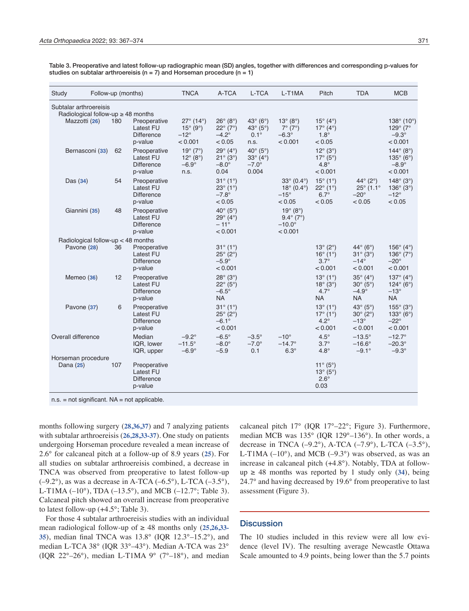| <b>Studv</b>                                                                  | Follow-up (months) |                                                                  | <b>TNCA</b>                                                                  | A-TCA                                                                                      | L-TCA                                                                                       | L-T1MA                                                                         | Pitch                                                                                  | <b>TDA</b>                                                                             | <b>MCB</b>                                                                                 |
|-------------------------------------------------------------------------------|--------------------|------------------------------------------------------------------|------------------------------------------------------------------------------|--------------------------------------------------------------------------------------------|---------------------------------------------------------------------------------------------|--------------------------------------------------------------------------------|----------------------------------------------------------------------------------------|----------------------------------------------------------------------------------------|--------------------------------------------------------------------------------------------|
| Subtalar arthroereisis<br>Radiological follow-up ≥ 48 months<br>Mazzotti (26) | 180                | Preoperative<br>Latest FU<br><b>Difference</b><br>p-value        | $27^{\circ}$ (14°)<br>$15^{\circ}$ (9°)<br>$-12^\circ$<br>< 0.001            | $26^\circ$ (8°)<br>$22^{\circ} (7^{\circ})$<br>$-4.2^\circ$<br>< 0.05                      | 43 $\textdegree$ (6 $\textdegree$ )<br>43 $^{\circ}$ (5 $^{\circ}$ )<br>$0.1^\circ$<br>n.s. | $13^{\circ} (8^{\circ})$<br>$7^\circ$ (7°)<br>$-6.3^\circ$<br>< 0.001          | $15^{\circ}$ (4 $^{\circ}$ )<br>$17^{\circ}$ (4°)<br>$1.8^\circ$<br>< 0.05             |                                                                                        | 138 $^{\circ}$ (10 $^{\circ}$ )<br>129 $^{\circ}$ (7 $^{\circ}$<br>$-9.3^\circ$<br>< 0.001 |
| Bernasconi (33)                                                               | 62                 | Preoperative<br>Latest FU<br><b>Difference</b><br>p-value        | $19^{\circ} (7^{\circ})$<br>$12^{\circ} (8^{\circ})$<br>$-6.9^\circ$<br>n.s. | $29^\circ$ (4°)<br>$21^{\circ} (3^{\circ})$<br>$-8.0^\circ$<br>0.04                        | 40 $\circ$ (5 $\circ$ )<br>$33^\circ$ (4°)<br>$-7.0^\circ$<br>0.004                         |                                                                                | $12^{\circ}$ (3 $^{\circ}$ )<br>$17^{\circ}$ (5°)<br>$4.8^\circ$<br>< 0.001            |                                                                                        | 144 $^{\circ}$ (8 $^{\circ}$ )<br>$135^{\circ}$ (6°)<br>$-8.9^\circ$<br>< 0.001            |
| Das $(34)$                                                                    | 54                 | Preoperative<br>Latest FU<br><b>Difference</b><br>p-value        |                                                                              | $31^{\circ} (1^{\circ})$<br>$23^{\circ}$ (1°)<br>$-7.8^\circ$<br>< 0.05                    |                                                                                             | $33^{\circ}$ (0.4°)<br>$18^{\circ}$ (0.4 $^{\circ}$ )<br>$-15^\circ$<br>< 0.05 | $15^{\circ}$ (1 $^{\circ}$ )<br>$22^{\circ}$ (1°)<br>$6.7^\circ$<br>< 0.05             | 44 $^{\circ}$ (2 $^{\circ}$ )<br>$25^{\circ}$ (1.1 $^{\circ}$<br>$-20^\circ$<br>< 0.05 | $148^{\circ}$ (3°)<br>$136^{\circ}$ (3°)<br>$-12^\circ$<br>< 0.05                          |
| Giannini (35)                                                                 | 48                 | Preoperative<br>Latest FU<br><b>Difference</b><br>p-value        |                                                                              | 40 $^{\circ}$ (5 $^{\circ}$ )<br>29 $^{\circ}$ (4 $^{\circ}$ )<br>$-11^{\circ}$<br>< 0.001 |                                                                                             | $19^{\circ} (8^{\circ})$<br>$9.4^{\circ}$ (7°)<br>$-10.0^\circ$<br>< 0.001     |                                                                                        |                                                                                        |                                                                                            |
| Radiological follow-up < 48 months                                            |                    |                                                                  |                                                                              |                                                                                            |                                                                                             |                                                                                |                                                                                        |                                                                                        |                                                                                            |
| Pavone (28)                                                                   | 36                 | Preoperative<br><b>Latest FU</b><br><b>Difference</b><br>p-value |                                                                              | $31^{\circ} (1^{\circ})$<br>$25^{\circ}$ (2°)<br>$-5.9^\circ$<br>< 0.001                   |                                                                                             |                                                                                | $13^{\circ} (2^{\circ})$<br>$16^{\circ} (1^{\circ})$<br>$3.7^\circ$<br>< 0.001         | 44 $^{\circ}$ (6 $^{\circ}$ )<br>$31^\circ (3^\circ)$<br>$-14^\circ$<br>< 0.001        | 156 $^{\circ}$ (4 $^{\circ}$ )<br>136 $^{\circ}$ (7 $^{\circ}$ )<br>$-20^\circ$<br>< 0.001 |
| Memeo (36)                                                                    | 12                 | Preoperative<br><b>Latest FU</b><br><b>Difference</b><br>p-value |                                                                              | $28^\circ$ (3 $^\circ$ )<br>$22^{\circ}$ (5°)<br>$-6.5^\circ$<br><b>NA</b>                 |                                                                                             |                                                                                | $13^{\circ}$ (1 $^{\circ}$ )<br>$18^{\circ}$ (3°)<br>$4.7^\circ$<br><b>NA</b>          | $35^\circ$ (4°)<br>$30^{\circ}$ (5°)<br>$-4.9^\circ$<br><b>NA</b>                      | 137 $^{\circ}$ (4 $^{\circ}$ )<br>$124^{\circ}$ (6°)<br>$-13^\circ$<br><b>NA</b>           |
| Pavone (37)                                                                   | 6                  | Preoperative<br><b>Latest FU</b><br><b>Difference</b><br>p-value |                                                                              | $31^{\circ}$ (1°)<br>$25^{\circ}$ (2°)<br>$-6.1^{\circ}$<br>< 0.001                        |                                                                                             |                                                                                | $13^{\circ}$ (1 $^{\circ}$ )<br>$17^{\circ}$ (1 $^{\circ}$ )<br>$4.2^\circ$<br>< 0.001 | 43 $\textdegree$ (5 $\textdegree$ )<br>$30^{\circ}$ (2°)<br>$-13^\circ$<br>< 0.001     | $155^{\circ}$ (3°)<br>$133^{\circ}$ (6°)<br>$-22^\circ$<br>< 0.001                         |
| Overall difference                                                            |                    | Median<br>IQR, lower<br>IQR, upper                               | $-9.2^\circ$<br>$-11.5^\circ$<br>$-6.9^\circ$                                | $-6.5^\circ$<br>$-8.0^\circ$<br>$-5.9$                                                     | $-3.5^\circ$<br>$-7.0^\circ$<br>0.1                                                         | $-10^{\circ}$<br>$-14.7^{\circ}$<br>$6.3^\circ$                                | $4.5^\circ$<br>$3.7^\circ$<br>$4.8^\circ$                                              | $-13.5^\circ$<br>$-16.6^\circ$<br>$-9.1^{\circ}$                                       | $-12.7^{\circ}$<br>$-20.3^\circ$<br>$-9.3^\circ$                                           |
| Horseman procedure                                                            |                    |                                                                  |                                                                              |                                                                                            |                                                                                             |                                                                                |                                                                                        |                                                                                        |                                                                                            |
| Dana (25)                                                                     | 107                | Preoperative<br><b>Latest FU</b><br><b>Difference</b><br>p-value |                                                                              |                                                                                            |                                                                                             |                                                                                | $11^{\circ} (5^{\circ})$<br>$13^{\circ} (5^{\circ})$<br>$2.6^\circ$<br>0.03            |                                                                                        |                                                                                            |

Table 3. Preoperative and latest follow-up radiographic mean (SD) angles, together with differences and corresponding p-values for studies on subtalar arthroereisis ( $n = 7$ ) and Horseman procedure ( $n = 1$ )

 $n.s.$  = not significant.  $NA$  = not applicable.

months following surgery (**28,36,37**) and 7 analyzing patients with subtalar arthroereisis (**26,28,33-37**). One study on patients undergoing Horseman procedure revealed a mean increase of 2.6° for calcaneal pitch at a follow-up of 8.9 years (**25**). For all studies on subtalar arthroereisis combined, a decrease in TNCA was observed from preoperative to latest follow-up  $(-9.2^{\circ})$ , as was a decrease in A-TCA  $(-6.5^{\circ})$ , L-TCA  $(-3.5^{\circ})$ , L-T1MA (-10°), TDA (-13.5°), and MCB (-12.7°; Table 3). Calcaneal pitch showed an overall increase from preoperative to latest follow-up  $(+4.5^{\circ};$  Table 3).

For those 4 subtalar arthroereisis studies with an individual mean radiological follow-up of ≥ 48 months only (**25,26,33- 35**), median final TNCA was 13.8° (IQR 12.3°–15.2°), and median L-TCA 38° (IQR 33°–43°). Median A-TCA was 23° (IOR  $22^{\circ} - 26^{\circ}$ ), median L-T1MA  $9^{\circ}$  (7°–18°), and median

calcaneal pitch 17° (IQR 17°–22°; Figure 3). Furthermore, median MCB was 135° (IQR 129°–136°). In other words, a decrease in TNCA (–9.2°), A-TCA (–7.9°), L-TCA (–3.5°), L-T1MA  $(-10^{\circ})$ , and MCB  $(-9.3^{\circ})$  was observed, as was an increase in calcaneal pitch (+4.8°). Notably, TDA at followup  $\geq$  48 months was reported by 1 study only (34), being 24.7° and having decreased by 19.6° from preoperative to last assessment (Figure 3).

## **Discussion**

The 10 studies included in this review were all low evidence (level IV). The resulting average Newcastle Ottawa Scale amounted to 4.9 points, being lower than the 5.7 points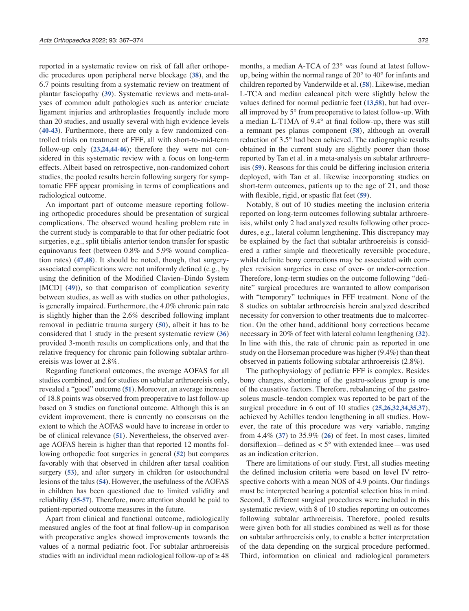reported in a systematic review on risk of fall after orthopedic procedures upon peripheral nerve blockage (**38**), and the 6.7 points resulting from a systematic review on treatment of plantar fasciopathy (**39**). Systematic reviews and meta-analyses of common adult pathologies such as anterior cruciate ligament injuries and arthroplasties frequently include more than 20 studies, and usually several with high evidence levels (**40-43**). Furthermore, there are only a few randomized controlled trials on treatment of FFF, all with short-to-mid-term follow-up only (**23,24,44-46**); therefore they were not considered in this systematic review with a focus on long-term effects. Albeit based on retrospective, non-randomized cohort studies, the pooled results herein following surgery for symptomatic FFF appear promising in terms of complications and radiological outcome.

An important part of outcome measure reporting following orthopedic procedures should be presentation of surgical complications. The observed wound healing problem rate in the current study is comparable to that for other pediatric foot surgeries, e.g., split tibialis anterior tendon transfer for spastic equinovarus feet (between 0.8% and 5.9% wound complication rates) (**47,48**). It should be noted, though, that surgeryassociated complications were not uniformly defined (e.g., by using the definition of the Modified Clavien–Dindo System [MCD] (49)), so that comparison of complication severity between studies, as well as with studies on other pathologies, is generally impaired. Furthermore, the 4.0% chronic pain rate is slightly higher than the 2.6% described following implant removal in pediatric trauma surgery (**50**), albeit it has to be considered that 1 study in the present systematic review (**36**) provided 3-month results on complications only, and that the relative frequency for chronic pain following subtalar arthroereisis was lower at 2.8%.

Regarding functional outcomes, the average AOFAS for all studies combined, and for studies on subtalar arthroereisis only, revealed a "good" outcome (**51**). Moreover, an average increase of 18.8 points was observed from preoperative to last follow-up based on 3 studies on functional outcome. Although this is an evident improvement, there is currently no consensus on the extent to which the AOFAS would have to increase in order to be of clinical relevance (**51**). Nevertheless, the observed average AOFAS herein is higher than that reported 12 months following orthopedic foot surgeries in general (**52**) but compares favorably with that observed in children after tarsal coalition surgery (**53**), and after surgery in children for osteochondral lesions of the talus (**54**). However, the usefulness of the AOFAS in children has been questioned due to limited validity and reliability (**55-57**). Therefore, more attention should be paid to patient-reported outcome measures in the future.

Apart from clinical and functional outcome, radiologically measured angles of the foot at final follow-up in comparison with preoperative angles showed improvements towards the values of a normal pediatric foot. For subtalar arthroereisis studies with an individual mean radiological follow-up of  $\geq 48$ 

months, a median A-TCA of 23° was found at latest followup, being within the normal range of 20° to 40° for infants and children reported by Vanderwilde et al. (**58**). Likewise, median L-TCA and median calcaneal pitch were slightly below the values defined for normal pediatric feet (**13,58**), but had overall improved by 5° from preoperative to latest follow-up. With a median L-T1MA of 9.4° at final follow-up, there was still a remnant pes planus component (**58**), although an overall reduction of 3.5° had been achieved. The radiographic results obtained in the current study are slightly poorer than those reported by Tan et al. in a meta-analysis on subtalar arthroereisis (**59**). Reasons for this could be differing inclusion criteria deployed, with Tan et al. likewise incorporating studies on short-term outcomes, patients up to the age of 21, and those with flexible, rigid, or spastic flat feet (**59**).

Notably, 8 out of 10 studies meeting the inclusion criteria reported on long-term outcomes following subtalar arthroereisis, whilst only 2 had analyzed results following other procedures, e.g., lateral column lengthening. This discrepancy may be explained by the fact that subtalar arthroereisis is considered a rather simple and theoretically reversible procedure, whilst definite bony corrections may be associated with complex revision surgeries in case of over- or under-correction. Therefore, long-term studies on the outcome following "definite" surgical procedures are warranted to allow comparison with "temporary" techniques in FFF treatment. None of the 8 studies on subtalar arthroereisis herein analyzed described necessity for conversion to other treatments due to malcorrection. On the other hand, additional bony corrections became necessary in 20% of feet with lateral column lengthening (**32**). In line with this, the rate of chronic pain as reported in one study on the Horseman procedure was higher (9.4%) than theat observed in patients following subtalar arthroereisis (2.8%).

The pathophysiology of pediatric FFF is complex. Besides bony changes, shortening of the gastro-soleus group is one of the causative factors. Therefore, rebalancing of the gastrosoleus muscle–tendon complex was reported to be part of the surgical procedure in 6 out of 10 studies (**25,26,32,34,35,37**), achieved by Achilles tendon lengthening in all studies. However, the rate of this procedure was very variable, ranging from 4.4% (**37**) to 35.9% (**26**) of feet. In most cases, limited dorsiflexion—defined as < 5° with extended knee—was used as an indication criterion.

There are limitations of our study. First, all studies meeting the defined inclusion criteria were based on level IV retrospective cohorts with a mean NOS of 4.9 points. Our findings must be interpreted bearing a potential selection bias in mind. Second, 3 different surgical procedures were included in this systematic review, with 8 of 10 studies reporting on outcomes following subtalar arthroereisis. Therefore, pooled results were given both for all studies combined as well as for those on subtalar arthroereisis only, to enable a better interpretation of the data depending on the surgical procedure performed. Third, information on clinical and radiological parameters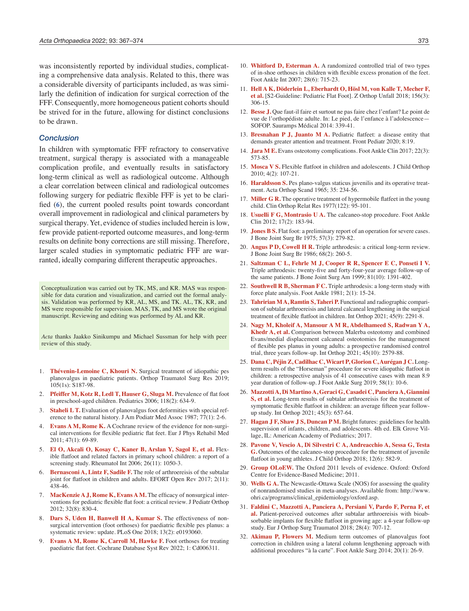was inconsistently reported by individual studies, complicating a comprehensive data analysis. Related to this, there was a considerable diversity of participants included, as was similarly the definition of indication for surgical correction of the FFF. Consequently, more homogeneous patient cohorts should be strived for in the future, allowing for distinct conclusions to be drawn.

#### *Conclusion*

In children with symptomatic FFF refractory to conservative treatment, surgical therapy is associated with a manageable complication profile, and eventually results in satisfactory long-term clinical as well as radiological outcome. Although a clear correlation between clinical and radiological outcomes following surgery for pediatric flexible FFF is yet to be clarified (**6**), the current pooled results point towards concordant overall improvement in radiological and clinical parameters by surgical therapy. Yet, evidence of studies included herein is low, few provide patient-reported outcome measures, and long-term results on definite bony corrections are still missing. Therefore, larger scaled studies in symptomatic pediatric FFF are warranted, ideally comparing different therapeutic approaches.

Conceptualization was carried out by TK, MS, and KR. MAS was responsible for data curation and visualization, and carried out the formal analysis. Validation was performed by KR, AL, MS, and TK. AL, TK, KR, and MS were responsible for supervision. MAS, TK, and MS wrote the original manuscript. Reviewing and editing was performed by AL and KR.

*Acta* thanks Jaakko Sinikumpu and Michael Sussman for help with peer review of this study.

- 1. **Thévenin-Lemoine C, Khouri N.** Surgical treatment of idiopathic pes planovalgus in paediatric patients. Orthop Traumatol Surg Res 2019; 105(1s): S187-98.
- 2. **Pfeiffer M, Kotz R, Ledl T, Hauser G, Sluga M.** Prevalence of flat foot in preschool-aged children. Pediatrics 2006; 118(2): 634-9.
- **Staheli L T.** Evaluation of planovalgus foot deformities with special reference to the natural history. J Am Podiatr Med Assoc 1987; 77(1): 2-6.
- 4. **Evans A M, Rome K.** A Cochrane review of the evidence for non-surgical interventions for flexible pediatric flat feet. Eur J Phys Rehabil Med 2011; 47(1): 69-89.
- 5. **El O, Akcali O, Kosay C, Kaner B, Arslan Y, Sagol E, et al.** Flexible flatfoot and related factors in primary school children: a report of a screening study. Rheumatol Int 2006; 26(11): 1050-3.
- 6. **Bernasconi A, Lintz F, Sadile F.** The role of arthroereisis of the subtalar joint for flatfoot in children and adults. EFORT Open Rev 2017; 2(11): 438-46.
- 7. **MacKenzie A J, Rome K, Evans A M.** The efficacy of nonsurgical interventions for pediatric flexible flat foot: a critical review. J Pediatr Orthop 2012; 32(8): 830-4.
- 8. **Dars S, Uden H, Banwell H A, Kumar S.** The effectiveness of nonsurgical intervention (foot orthoses) for paediatric flexible pes planus: a systematic review: update. PLoS One 2018; 13(2): e0193060.
- 9. **Evans A M, Rome K, Carroll M, Hawke F.** Foot orthoses for treating paediatric flat feet. Cochrane Database Syst Rev 2022; 1: Cd006311.
- 10. **Whitford D, Esterman A.** A randomized controlled trial of two types of in-shoe orthoses in children with flexible excess pronation of the feet. Foot Ankle Int 2007; 28(6): 715-23.
- 11. **Hell A K, Döderlein L, Eberhardt O, Hösl M, von Kalle T, Mecher F, et al.** [S2-Guideline: Pediatric Flat Foot]. Z Orthop Unfall 2018; 156(3): 306-15.
- 12. **Besse J.** Que faut-il faire et surtout ne pas faire chez l'enfant? Le point de vue de l'orthopédiste adulte. In: Le pied, de l'enfance à l'adolescence— SOFOP. Sauramps Médical 2014: 339-41.
- 13. **Bresnahan P J, Juanto M A.** Pediatric flatfeet: a disease entity that demands greater attention and treatment. Front Pediatr 2020; 8:19.
- 14. **Jara M E.** Evans osteotomy complications. Foot Ankle Clin 2017; 22(3): 573-85.
- 15. **Mosca V S.** Flexible flatfoot in children and adolescents. J Child Orthop 2010; 4(2): 107-21.
- 16. **Haraldsson S.** Pes plano-valgus staticus juvenilis and its operative treatment. Acta Orthop Scand 1965; 35: 234-56.
- 17. **Miller G R.** The operative treatment of hypermobile flatfeet in the young child. Clin Orthop Relat Res 1977(122): 95-101.
- 18. **Usuelli F G, Montrasio U A.** The calcaneo-stop procedure. Foot Ankle Clin 2012; 17(2): 183-94.
- 19. **Jones B S.** Flat foot: a preliminary report of an operation for severe cases. J Bone Joint Surg Br 1975; 57(3): 279-82.
- 20. **Angus P D, Cowell H R.** Triple arthrodesis: a critical long-term review. J Bone Joint Surg Br 1986; 68(2): 260-5.
- 21. **Saltzman C L, Fehrle M J, Cooper R R, Spencer E C, Ponseti I V.**  Triple arthrodesis: twenty-five and forty-four-year average follow-up of the same patients. J Bone Joint Surg Am 1999; 81(10): 1391-402.
- 22. **Southwell R B, Sherman F C.** Triple arthrodesis: a long-term study with force plate analysis. Foot Ankle 1981; 2(1): 15-24.
- 23. **Tahririan M A, Ramtin S, Taheri P.** Functional and radiographic comparison of subtalar arthroereisis and lateral calcaneal lengthening in the surgical treatment of flexible flatfoot in children. Int Orthop 2021; 45(9): 2291-8.
- 24. **Nagy M, Kholeif A, Mansour A M R, Abdelhameed S, Radwan Y A, Khedr A, et al.** Comparison between Malerba osteotomy and combined Evans/medial displacement calcaneal osteotomies for the management of flexible pes planus in young adults: a prospective randomised control trial, three years follow-up. Int Orthop 2021; 45(10): 2579-88.
- 25. **Dana C, Péjin Z, Cadilhac C, Wicart P, Glorion C, Aurégan J C.** Longterm results of the "Horseman" procedure for severe idiopathic flatfoot in children: a retrospective analysis of 41 consecutive cases with mean 8.9 year duration of follow-up. J Foot Ankle Surg 2019; 58(1): 10-6.
- 26. **Mazzotti A, Di Martino A, Geraci G, Casadei C, Panciera A, Giannini S, et al.** Long-term results of subtalar arthroereisis for the treatment of symptomatic flexible flatfoot in children: an average fifteen year followup study. Int Orthop 2021; 45(3): 657-64.
- 27. **Hagan J F, Shaw J S, Duncan P M.** Bright futures: guidelines for health supervision of infants, children, and adolescents. 4th ed. Elk Grove Village, IL: American Academy of Pediatrics; 2017.
- 28. **Pavone V, Vescio A, Di Silvestri C A, Andreacchio A, Sessa G, Testa G.** Outcomes of the calcaneo-stop procedure for the treatment of juvenile flatfoot in young athletes. J Child Orthop 2018; 12(6): 582-9.
- 29. **Group OLoEW.** The Oxford 2011 levels of evidence. Oxford: Oxford Centre for Evidence-Based Medicine; 2011.
- 30. **Wells G A.** The Newcastle-Ottawa Scale (NOS) for assessing the quality of nonrandomised studies in meta-analyses. Available from: http://www. ohri.ca/programs/clinical\_epidemiology/oxford.asp.
- 31. **Faldini C, Mazzotti A, Panciera A, Persiani V, Pardo F, Perna F, et al.** Patient-perceived outcomes after subtalar arthroereisis with bioabsorbable implants for flexible flatfoot in growing age: a 4-year follow-up study. Eur J Orthop Surg Traumatol 2018; 28(4): 707-12.
- 32. **Akimau P, Flowers M.** Medium term outcomes of planovalgus foot correction in children using a lateral column lengthening approach with additional procedures "à la carte". Foot Ankle Surg 2014; 20(1): 26-9.